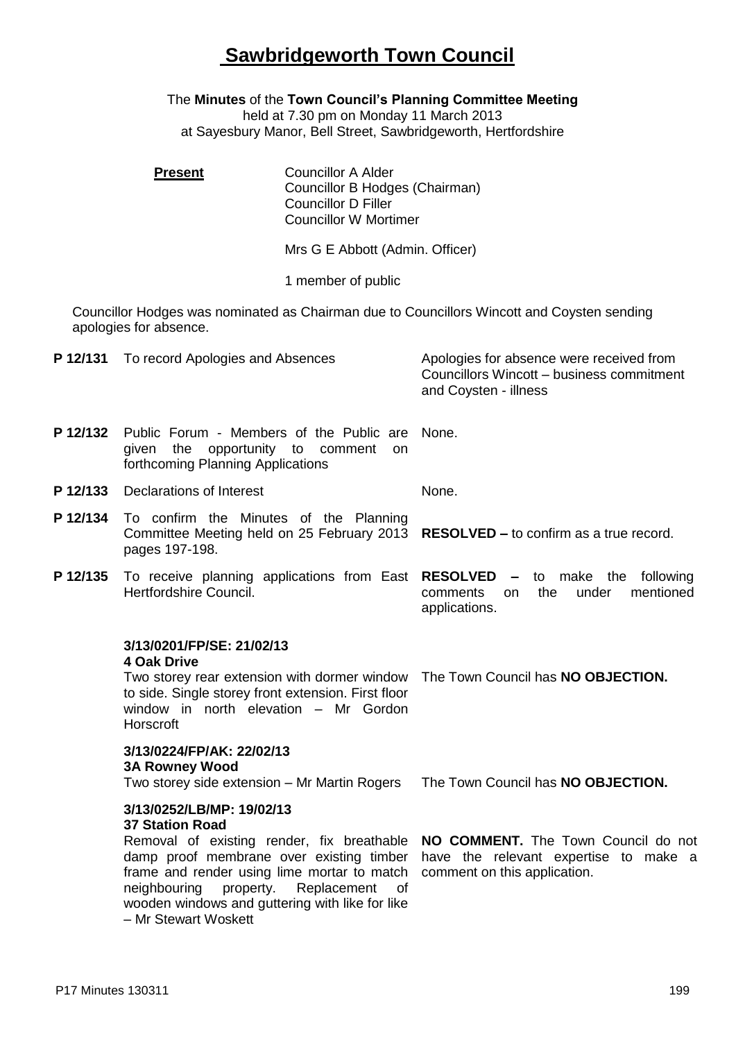## **Sawbridgeworth Town Council**

The **Minutes** of the **Town Council's Planning Committee Meeting** held at 7.30 pm on Monday 11 March 2013

at Sayesbury Manor, Bell Street, Sawbridgeworth, Hertfordshire

|          | <b>Present</b>                                                                                                                                                                                                                                                                                       | <b>Councillor A Alder</b><br>Councillor B Hodges (Chairman)<br><b>Councillor D Filler</b><br><b>Councillor W Mortimer</b> |                                  |                                                                                       |  |  |
|----------|------------------------------------------------------------------------------------------------------------------------------------------------------------------------------------------------------------------------------------------------------------------------------------------------------|---------------------------------------------------------------------------------------------------------------------------|----------------------------------|---------------------------------------------------------------------------------------|--|--|
|          |                                                                                                                                                                                                                                                                                                      | Mrs G E Abbott (Admin. Officer)                                                                                           |                                  |                                                                                       |  |  |
|          |                                                                                                                                                                                                                                                                                                      | 1 member of public                                                                                                        |                                  |                                                                                       |  |  |
|          | Councillor Hodges was nominated as Chairman due to Councillors Wincott and Coysten sending<br>apologies for absence.                                                                                                                                                                                 |                                                                                                                           |                                  |                                                                                       |  |  |
|          | P 12/131 To record Apologies and Absences                                                                                                                                                                                                                                                            |                                                                                                                           | and Coysten - illness            | Apologies for absence were received from<br>Councillors Wincott - business commitment |  |  |
| P 12/132 | Public Forum - Members of the Public are<br>opportunity to comment<br>given<br>the<br>on.<br>forthcoming Planning Applications                                                                                                                                                                       |                                                                                                                           | None.                            |                                                                                       |  |  |
| P 12/133 | <b>Declarations of Interest</b>                                                                                                                                                                                                                                                                      |                                                                                                                           | None.                            |                                                                                       |  |  |
| P 12/134 | To confirm the Minutes of the Planning<br>Committee Meeting held on 25 February 2013 RESOLVED – to confirm as a true record.<br>pages 197-198.                                                                                                                                                       |                                                                                                                           |                                  |                                                                                       |  |  |
| P 12/135 | To receive planning applications from East RESOLVED<br>Hertfordshire Council.                                                                                                                                                                                                                        |                                                                                                                           | comments<br>on.<br>applications. | - to make the following<br>the<br>under<br>mentioned                                  |  |  |
|          | 3/13/0201/FP/SE: 21/02/13<br><b>4 Oak Drive</b><br>Two storey rear extension with dormer window<br>to side. Single storey front extension. First floor<br>window in north elevation - Mr Gordon<br>Horscroft                                                                                         |                                                                                                                           |                                  | The Town Council has NO OBJECTION.                                                    |  |  |
|          | 3/13/0224/FP/AK: 22/02/13<br><b>3A Rowney Wood</b><br>Two storey side extension - Mr Martin Rogers                                                                                                                                                                                                   |                                                                                                                           |                                  | The Town Council has NO OBJECTION.                                                    |  |  |
|          | 3/13/0252/LB/MP: 19/02/13<br><b>37 Station Road</b><br>Removal of existing render, fix breathable<br>damp proof membrane over existing timber<br>frame and render using lime mortar to match<br>neighbouring<br>property.<br>wooden windows and guttering with like for like<br>- Mr Stewart Woskett | Replacement<br>of                                                                                                         | comment on this application.     | NO COMMENT. The Town Council do not<br>have the relevant expertise to make a          |  |  |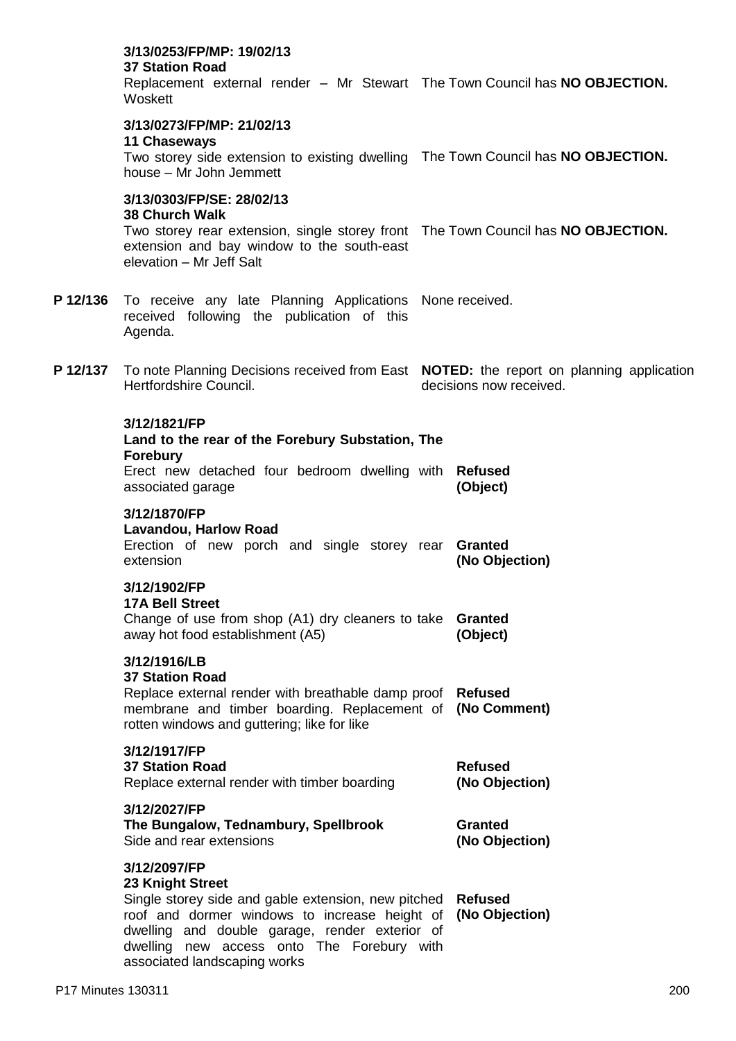|          | 3/13/0253/FP/MP: 19/02/13<br><b>37 Station Road</b><br>Replacement external render - Mr Stewart The Town Council has NO OBJECTION.<br>Woskett                                                                                                                            |                                  |                                  |
|----------|--------------------------------------------------------------------------------------------------------------------------------------------------------------------------------------------------------------------------------------------------------------------------|----------------------------------|----------------------------------|
|          | 3/13/0273/FP/MP: 21/02/13<br><b>11 Chaseways</b><br>Two storey side extension to existing dwelling The Town Council has NO OBJECTION.<br>house - Mr John Jemmett                                                                                                         |                                  |                                  |
|          | 3/13/0303/FP/SE: 28/02/13<br><b>38 Church Walk</b><br>Two storey rear extension, single storey front The Town Council has NO OBJECTION.<br>extension and bay window to the south-east<br>elevation - Mr Jeff Salt                                                        |                                  |                                  |
| P 12/136 | To receive any late Planning Applications None received.<br>received following the publication of this<br>Agenda.                                                                                                                                                        |                                  |                                  |
| P 12/137 | To note Planning Decisions received from East NOTED: the report on planning application<br>Hertfordshire Council.                                                                                                                                                        |                                  | decisions now received.          |
|          | 3/12/1821/FP<br>Land to the rear of the Forebury Substation, The<br><b>Forebury</b><br>Erect new detached four bedroom dwelling with Refused<br>associated garage                                                                                                        |                                  | (Object)                         |
|          | 3/12/1870/FP<br><b>Lavandou, Harlow Road</b><br>Erection of new porch and single storey rear Granted<br>extension                                                                                                                                                        |                                  | (No Objection)                   |
|          | 3/12/1902/FP<br><b>17A Bell Street</b><br>Change of use from shop (A1) dry cleaners to take<br>away hot food establishment (A5)                                                                                                                                          |                                  | <b>Granted</b><br>(Object)       |
|          | 3/12/1916/LB<br><b>37 Station Road</b><br>Replace external render with breathable damp proof<br>membrane and timber boarding. Replacement of<br>rotten windows and guttering; like for like                                                                              | <b>Refused</b><br>(No Comment)   |                                  |
|          | 3/12/1917/FP<br><b>37 Station Road</b><br>Replace external render with timber boarding                                                                                                                                                                                   | <b>Refused</b><br>(No Objection) |                                  |
|          | 3/12/2027/FP<br>The Bungalow, Tednambury, Spellbrook<br>Side and rear extensions                                                                                                                                                                                         | <b>Granted</b><br>(No Objection) |                                  |
|          | 3/12/2097/FP<br>23 Knight Street<br>Single storey side and gable extension, new pitched<br>roof and dormer windows to increase height of<br>dwelling and double garage, render exterior of<br>dwelling new access onto The Forebury with<br>associated landscaping works |                                  | <b>Refused</b><br>(No Objection) |
|          |                                                                                                                                                                                                                                                                          |                                  |                                  |